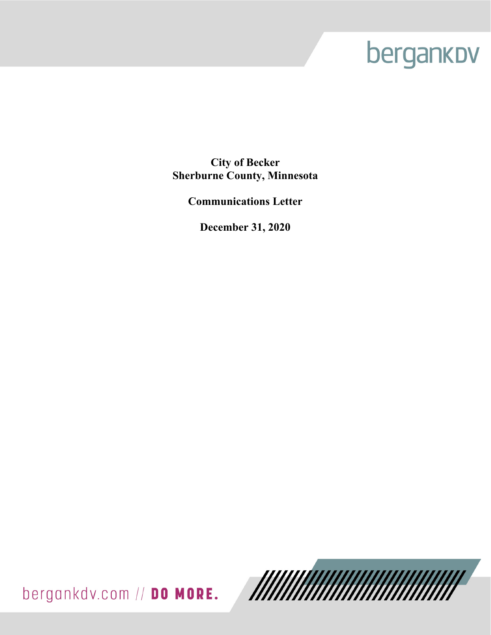# bergankov

**City of Becker Sherburne County, Minnesota** 

**Communications Letter** 

**December 31, 2020** 

bergankdv.com // DO MORE.

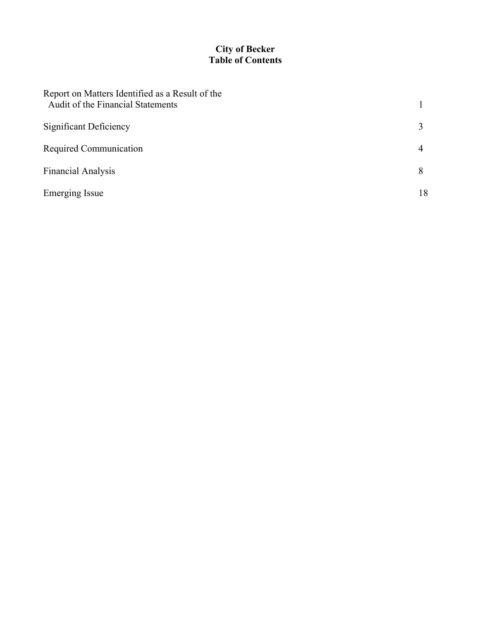# **City of Becker Table of Contents**

| Report on Matters Identified as a Result of the<br>Audit of the Financial Statements |    |
|--------------------------------------------------------------------------------------|----|
| <b>Significant Deficiency</b>                                                        |    |
| Required Communication                                                               | 4  |
| <b>Financial Analysis</b>                                                            | 8  |
| <b>Emerging Issue</b>                                                                | 18 |
|                                                                                      |    |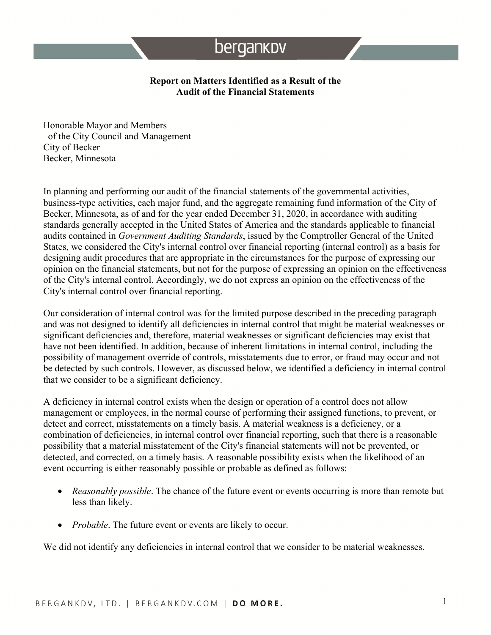# bergankov

#### **Report on Matters Identified as a Result of the Audit of the Financial Statements**

Honorable Mayor and Members of the City Council and Management City of Becker Becker, Minnesota

In planning and performing our audit of the financial statements of the governmental activities, business-type activities, each major fund, and the aggregate remaining fund information of the City of Becker, Minnesota, as of and for the year ended December 31, 2020, in accordance with auditing standards generally accepted in the United States of America and the standards applicable to financial audits contained in *Government Auditing Standards*, issued by the Comptroller General of the United States, we considered the City's internal control over financial reporting (internal control) as a basis for designing audit procedures that are appropriate in the circumstances for the purpose of expressing our opinion on the financial statements, but not for the purpose of expressing an opinion on the effectiveness of the City's internal control. Accordingly, we do not express an opinion on the effectiveness of the City's internal control over financial reporting.

Our consideration of internal control was for the limited purpose described in the preceding paragraph and was not designed to identify all deficiencies in internal control that might be material weaknesses or significant deficiencies and, therefore, material weaknesses or significant deficiencies may exist that have not been identified. In addition, because of inherent limitations in internal control, including the possibility of management override of controls, misstatements due to error, or fraud may occur and not be detected by such controls. However, as discussed below, we identified a deficiency in internal control that we consider to be a significant deficiency.

A deficiency in internal control exists when the design or operation of a control does not allow management or employees, in the normal course of performing their assigned functions, to prevent, or detect and correct, misstatements on a timely basis. A material weakness is a deficiency, or a combination of deficiencies, in internal control over financial reporting, such that there is a reasonable possibility that a material misstatement of the City's financial statements will not be prevented, or detected, and corrected, on a timely basis. A reasonable possibility exists when the likelihood of an event occurring is either reasonably possible or probable as defined as follows:

- *Reasonably possible*. The chance of the future event or events occurring is more than remote but less than likely.
- *Probable*. The future event or events are likely to occur.

We did not identify any deficiencies in internal control that we consider to be material weaknesses.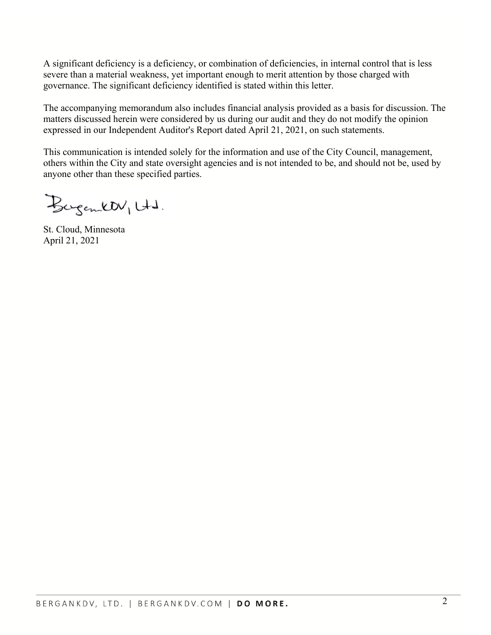A significant deficiency is a deficiency, or combination of deficiencies, in internal control that is less severe than a material weakness, yet important enough to merit attention by those charged with governance. The significant deficiency identified is stated within this letter.

The accompanying memorandum also includes financial analysis provided as a basis for discussion. The matters discussed herein were considered by us during our audit and they do not modify the opinion expressed in our Independent Auditor's Report dated April 21, 2021, on such statements.

This communication is intended solely for the information and use of the City Council, management, others within the City and state oversight agencies and is not intended to be, and should not be, used by anyone other than these specified parties.

Bergentt Utd.

St. Cloud, Minnesota April 21, 2021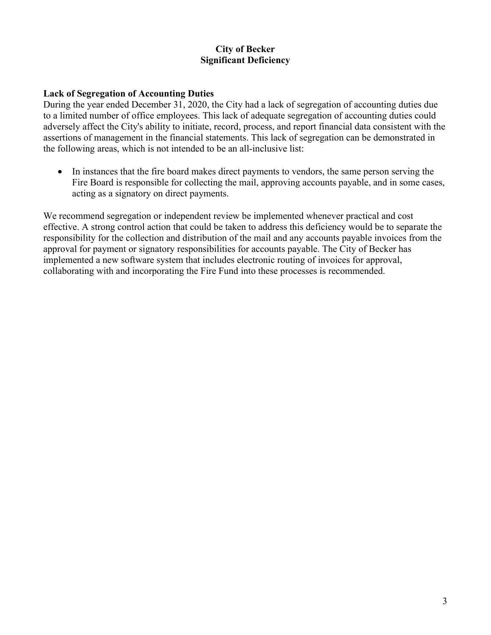# **City of Becker Significant Deficiency**

#### **Lack of Segregation of Accounting Duties**

During the year ended December 31, 2020, the City had a lack of segregation of accounting duties due to a limited number of office employees. This lack of adequate segregation of accounting duties could adversely affect the City's ability to initiate, record, process, and report financial data consistent with the assertions of management in the financial statements. This lack of segregation can be demonstrated in the following areas, which is not intended to be an all-inclusive list:

• In instances that the fire board makes direct payments to vendors, the same person serving the Fire Board is responsible for collecting the mail, approving accounts payable, and in some cases, acting as a signatory on direct payments.

We recommend segregation or independent review be implemented whenever practical and cost effective. A strong control action that could be taken to address this deficiency would be to separate the responsibility for the collection and distribution of the mail and any accounts payable invoices from the approval for payment or signatory responsibilities for accounts payable. The City of Becker has implemented a new software system that includes electronic routing of invoices for approval, collaborating with and incorporating the Fire Fund into these processes is recommended.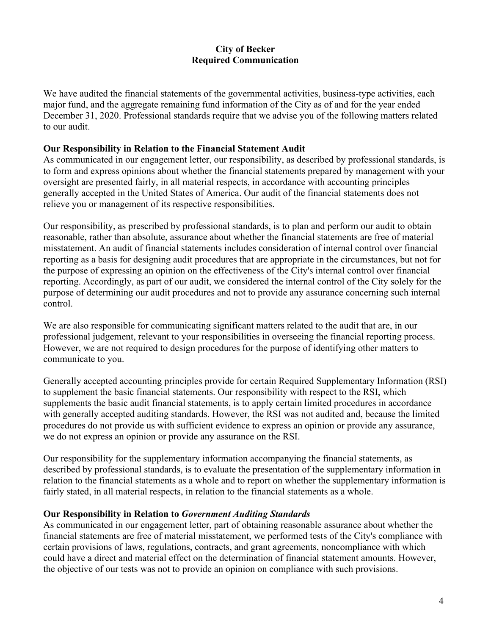We have audited the financial statements of the governmental activities, business-type activities, each major fund, and the aggregate remaining fund information of the City as of and for the year ended December 31, 2020. Professional standards require that we advise you of the following matters related to our audit.

#### **Our Responsibility in Relation to the Financial Statement Audit**

As communicated in our engagement letter, our responsibility, as described by professional standards, is to form and express opinions about whether the financial statements prepared by management with your oversight are presented fairly, in all material respects, in accordance with accounting principles generally accepted in the United States of America. Our audit of the financial statements does not relieve you or management of its respective responsibilities.

Our responsibility, as prescribed by professional standards, is to plan and perform our audit to obtain reasonable, rather than absolute, assurance about whether the financial statements are free of material misstatement. An audit of financial statements includes consideration of internal control over financial reporting as a basis for designing audit procedures that are appropriate in the circumstances, but not for the purpose of expressing an opinion on the effectiveness of the City's internal control over financial reporting. Accordingly, as part of our audit, we considered the internal control of the City solely for the purpose of determining our audit procedures and not to provide any assurance concerning such internal control.

We are also responsible for communicating significant matters related to the audit that are, in our professional judgement, relevant to your responsibilities in overseeing the financial reporting process. However, we are not required to design procedures for the purpose of identifying other matters to communicate to you.

Generally accepted accounting principles provide for certain Required Supplementary Information (RSI) to supplement the basic financial statements. Our responsibility with respect to the RSI, which supplements the basic audit financial statements, is to apply certain limited procedures in accordance with generally accepted auditing standards. However, the RSI was not audited and, because the limited procedures do not provide us with sufficient evidence to express an opinion or provide any assurance, we do not express an opinion or provide any assurance on the RSI.

Our responsibility for the supplementary information accompanying the financial statements, as described by professional standards, is to evaluate the presentation of the supplementary information in relation to the financial statements as a whole and to report on whether the supplementary information is fairly stated, in all material respects, in relation to the financial statements as a whole.

#### **Our Responsibility in Relation to** *Government Auditing Standards*

As communicated in our engagement letter, part of obtaining reasonable assurance about whether the financial statements are free of material misstatement, we performed tests of the City's compliance with certain provisions of laws, regulations, contracts, and grant agreements, noncompliance with which could have a direct and material effect on the determination of financial statement amounts. However, the objective of our tests was not to provide an opinion on compliance with such provisions.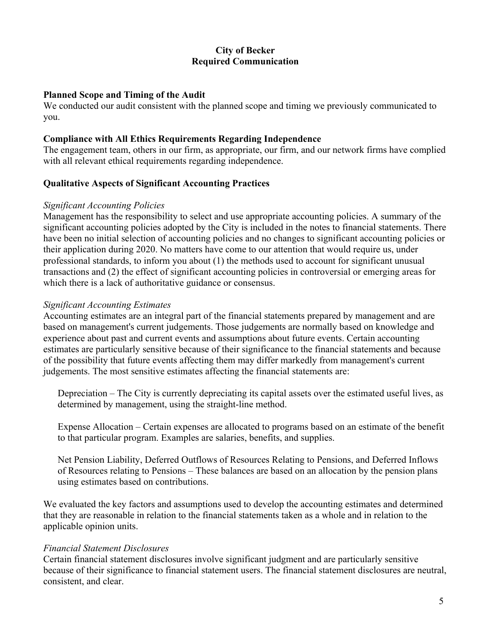#### **Planned Scope and Timing of the Audit**

We conducted our audit consistent with the planned scope and timing we previously communicated to you.

#### **Compliance with All Ethics Requirements Regarding Independence**

The engagement team, others in our firm, as appropriate, our firm, and our network firms have complied with all relevant ethical requirements regarding independence.

#### **Qualitative Aspects of Significant Accounting Practices**

#### *Significant Accounting Policies*

Management has the responsibility to select and use appropriate accounting policies. A summary of the significant accounting policies adopted by the City is included in the notes to financial statements. There have been no initial selection of accounting policies and no changes to significant accounting policies or their application during 2020. No matters have come to our attention that would require us, under professional standards, to inform you about (1) the methods used to account for significant unusual transactions and (2) the effect of significant accounting policies in controversial or emerging areas for which there is a lack of authoritative guidance or consensus.

#### *Significant Accounting Estimates*

Accounting estimates are an integral part of the financial statements prepared by management and are based on management's current judgements. Those judgements are normally based on knowledge and experience about past and current events and assumptions about future events. Certain accounting estimates are particularly sensitive because of their significance to the financial statements and because of the possibility that future events affecting them may differ markedly from management's current judgements. The most sensitive estimates affecting the financial statements are:

Depreciation – The City is currently depreciating its capital assets over the estimated useful lives, as determined by management, using the straight-line method.

Expense Allocation – Certain expenses are allocated to programs based on an estimate of the benefit to that particular program. Examples are salaries, benefits, and supplies.

Net Pension Liability, Deferred Outflows of Resources Relating to Pensions, and Deferred Inflows of Resources relating to Pensions – These balances are based on an allocation by the pension plans using estimates based on contributions.

We evaluated the key factors and assumptions used to develop the accounting estimates and determined that they are reasonable in relation to the financial statements taken as a whole and in relation to the applicable opinion units.

#### *Financial Statement Disclosures*

Certain financial statement disclosures involve significant judgment and are particularly sensitive because of their significance to financial statement users. The financial statement disclosures are neutral, consistent, and clear.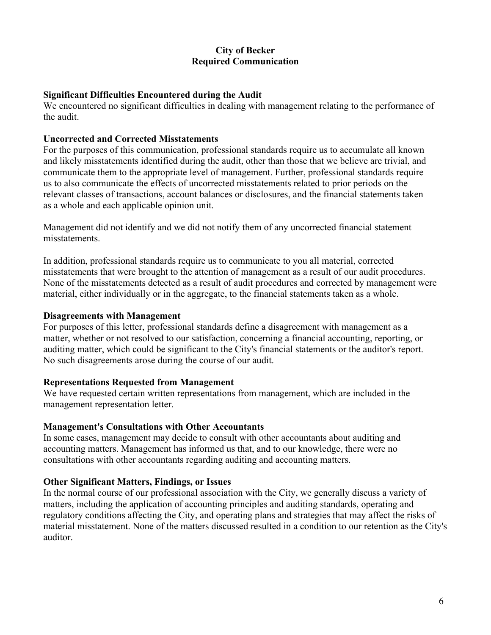#### **Significant Difficulties Encountered during the Audit**

We encountered no significant difficulties in dealing with management relating to the performance of the audit.

#### **Uncorrected and Corrected Misstatements**

For the purposes of this communication, professional standards require us to accumulate all known and likely misstatements identified during the audit, other than those that we believe are trivial, and communicate them to the appropriate level of management. Further, professional standards require us to also communicate the effects of uncorrected misstatements related to prior periods on the relevant classes of transactions, account balances or disclosures, and the financial statements taken as a whole and each applicable opinion unit.

Management did not identify and we did not notify them of any uncorrected financial statement misstatements.

In addition, professional standards require us to communicate to you all material, corrected misstatements that were brought to the attention of management as a result of our audit procedures. None of the misstatements detected as a result of audit procedures and corrected by management were material, either individually or in the aggregate, to the financial statements taken as a whole.

#### **Disagreements with Management**

For purposes of this letter, professional standards define a disagreement with management as a matter, whether or not resolved to our satisfaction, concerning a financial accounting, reporting, or auditing matter, which could be significant to the City's financial statements or the auditor's report. No such disagreements arose during the course of our audit.

#### **Representations Requested from Management**

We have requested certain written representations from management, which are included in the management representation letter.

#### **Management's Consultations with Other Accountants**

In some cases, management may decide to consult with other accountants about auditing and accounting matters. Management has informed us that, and to our knowledge, there were no consultations with other accountants regarding auditing and accounting matters.

#### **Other Significant Matters, Findings, or Issues**

In the normal course of our professional association with the City, we generally discuss a variety of matters, including the application of accounting principles and auditing standards, operating and regulatory conditions affecting the City, and operating plans and strategies that may affect the risks of material misstatement. None of the matters discussed resulted in a condition to our retention as the City's auditor.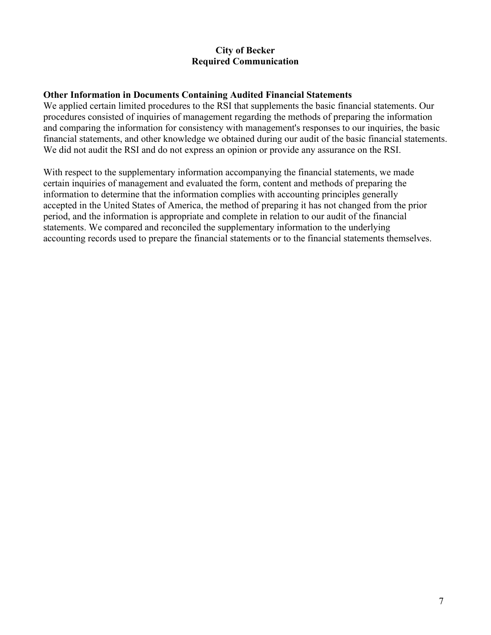#### **Other Information in Documents Containing Audited Financial Statements**

We applied certain limited procedures to the RSI that supplements the basic financial statements. Our procedures consisted of inquiries of management regarding the methods of preparing the information and comparing the information for consistency with management's responses to our inquiries, the basic financial statements, and other knowledge we obtained during our audit of the basic financial statements. We did not audit the RSI and do not express an opinion or provide any assurance on the RSI.

With respect to the supplementary information accompanying the financial statements, we made certain inquiries of management and evaluated the form, content and methods of preparing the information to determine that the information complies with accounting principles generally accepted in the United States of America, the method of preparing it has not changed from the prior period, and the information is appropriate and complete in relation to our audit of the financial statements. We compared and reconciled the supplementary information to the underlying accounting records used to prepare the financial statements or to the financial statements themselves.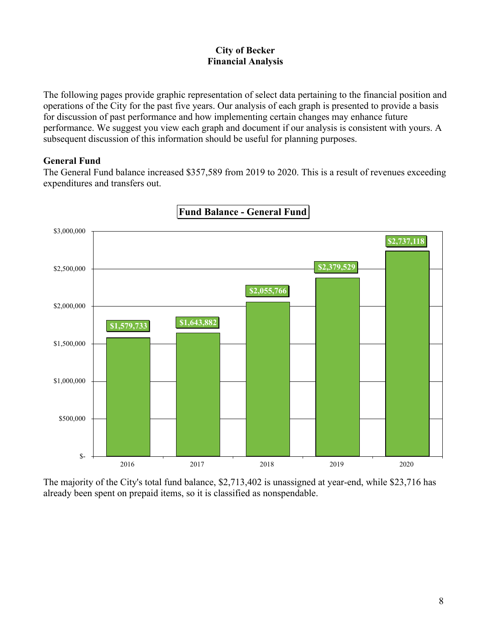The following pages provide graphic representation of select data pertaining to the financial position and operations of the City for the past five years. Our analysis of each graph is presented to provide a basis for discussion of past performance and how implementing certain changes may enhance future performance. We suggest you view each graph and document if our analysis is consistent with yours. A subsequent discussion of this information should be useful for planning purposes.

#### **General Fund**

The General Fund balance increased \$357,589 from 2019 to 2020. This is a result of revenues exceeding expenditures and transfers out.



**Fund Balance - General Fund** 

The majority of the City's total fund balance, \$2,713,402 is unassigned at year-end, while \$23,716 has already been spent on prepaid items, so it is classified as nonspendable.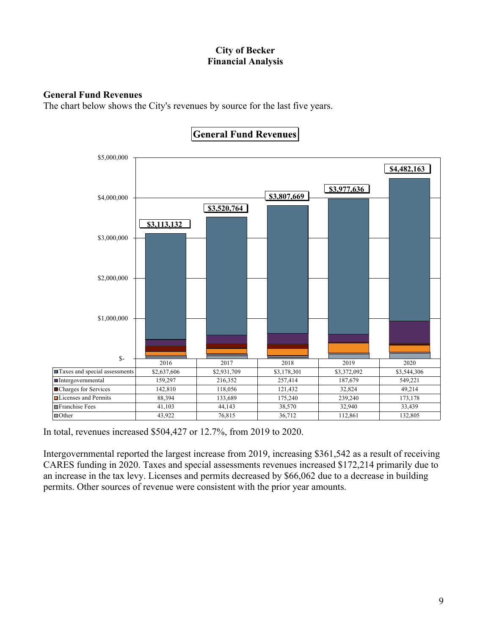### **General Fund Revenues**

The chart below shows the City's revenues by source for the last five years.



**General Fund Revenues** 

In total, revenues increased \$504,427 or 12.7%, from 2019 to 2020.

Intergovernmental reported the largest increase from 2019, increasing \$361,542 as a result of receiving CARES funding in 2020. Taxes and special assessments revenues increased \$172,214 primarily due to an increase in the tax levy. Licenses and permits decreased by \$66,062 due to a decrease in building permits. Other sources of revenue were consistent with the prior year amounts.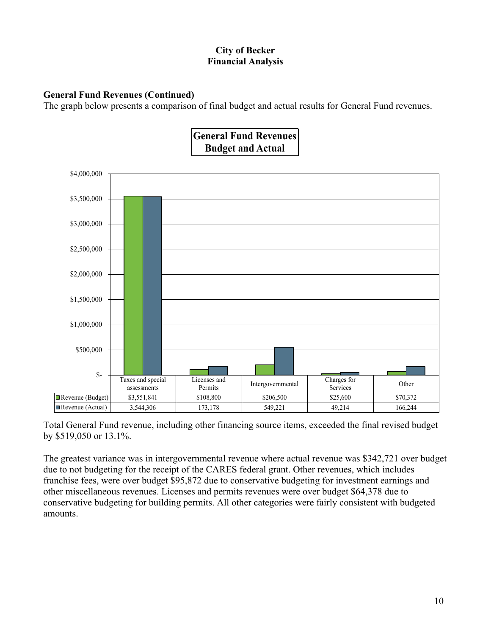# **General Fund Revenues (Continued)**

The graph below presents a comparison of final budget and actual results for General Fund revenues.



Total General Fund revenue, including other financing source items, exceeded the final revised budget by \$519,050 or 13.1%.

The greatest variance was in intergovernmental revenue where actual revenue was \$342,721 over budget due to not budgeting for the receipt of the CARES federal grant. Other revenues, which includes franchise fees, were over budget \$95,872 due to conservative budgeting for investment earnings and other miscellaneous revenues. Licenses and permits revenues were over budget \$64,378 due to conservative budgeting for building permits. All other categories were fairly consistent with budgeted amounts.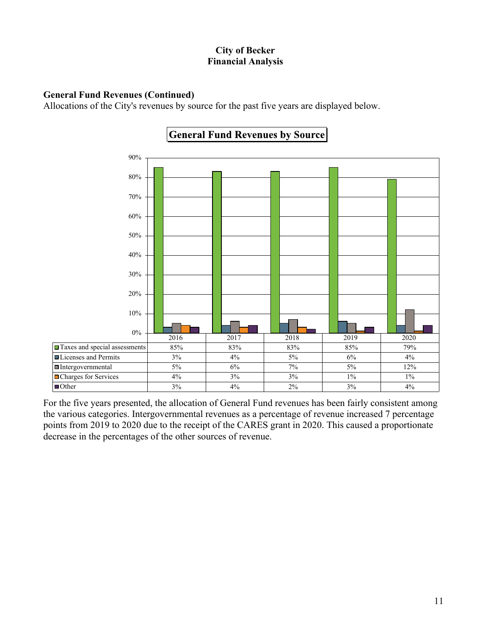### **General Fund Revenues (Continued)**

Allocations of the City's revenues by source for the past five years are displayed below.



**General Fund Revenues by Source** 

For the five years presented, the allocation of General Fund revenues has been fairly consistent among the various categories. Intergovernmental revenues as a percentage of revenue increased 7 percentage points from 2019 to 2020 due to the receipt of the CARES grant in 2020. This caused a proportionate decrease in the percentages of the other sources of revenue.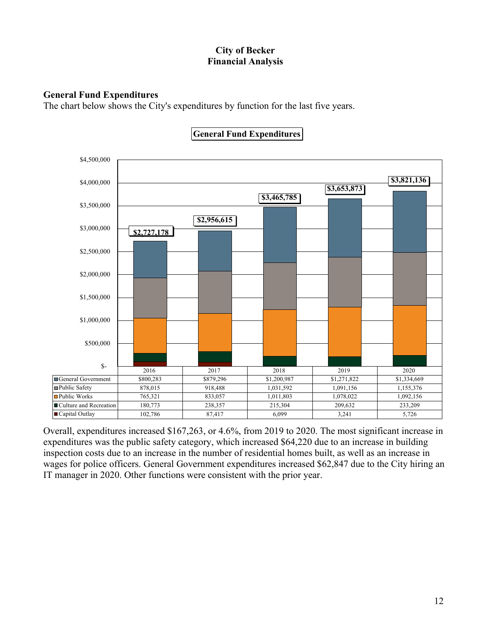# **General Fund Expenditures**

The chart below shows the City's expenditures by function for the last five years.



# **General Fund Expenditures**

Overall, expenditures increased \$167,263, or 4.6%, from 2019 to 2020. The most significant increase in expenditures was the public safety category, which increased \$64,220 due to an increase in building inspection costs due to an increase in the number of residential homes built, as well as an increase in wages for police officers. General Government expenditures increased \$62,847 due to the City hiring an IT manager in 2020. Other functions were consistent with the prior year.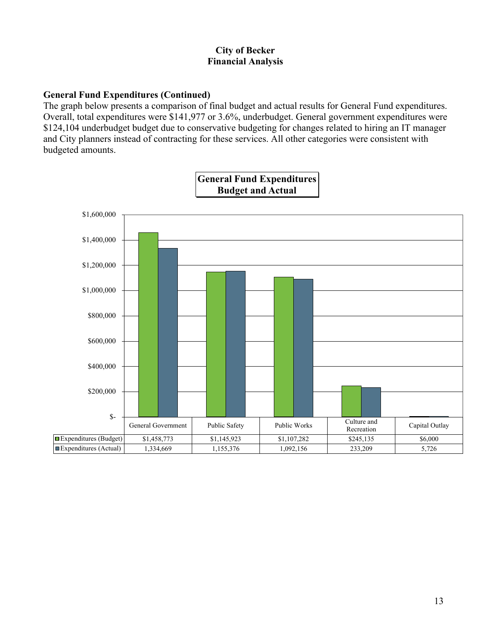# **General Fund Expenditures (Continued)**

The graph below presents a comparison of final budget and actual results for General Fund expenditures. Overall, total expenditures were \$141,977 or 3.6%, underbudget. General government expenditures were \$124,104 underbudget budget due to conservative budgeting for changes related to hiring an IT manager and City planners instead of contracting for these services. All other categories were consistent with budgeted amounts.

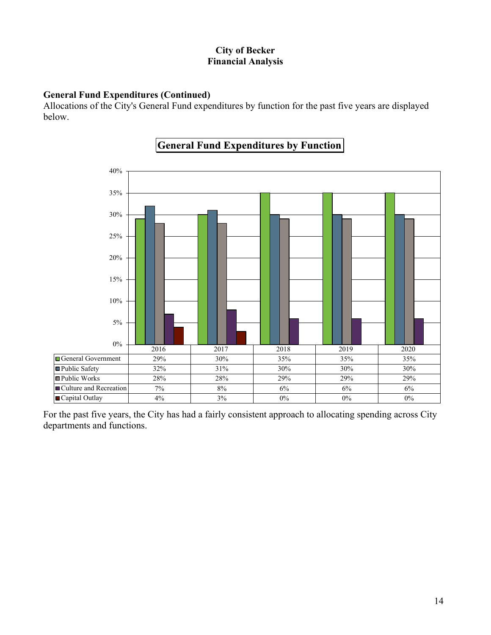# **General Fund Expenditures (Continued)**

Allocations of the City's General Fund expenditures by function for the past five years are displayed below.



# **General Fund Expenditures by Function**

For the past five years, the City has had a fairly consistent approach to allocating spending across City departments and functions.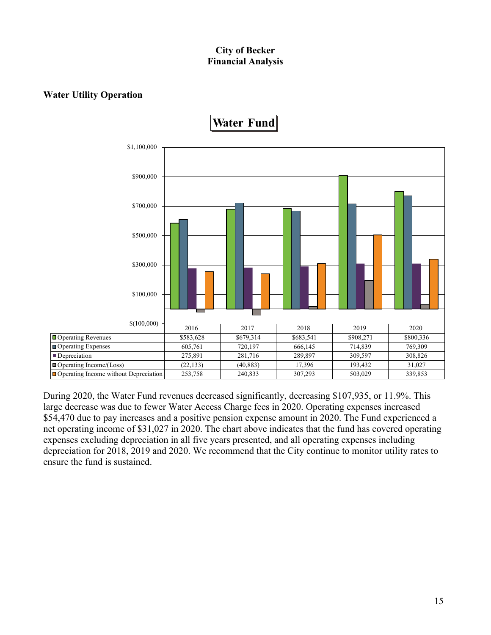# **Water Utility Operation**



During 2020, the Water Fund revenues decreased significantly, decreasing \$107,935, or 11.9%. This large decrease was due to fewer Water Access Charge fees in 2020. Operating expenses increased \$54,470 due to pay increases and a positive pension expense amount in 2020. The Fund experienced a net operating income of \$31,027 in 2020. The chart above indicates that the fund has covered operating expenses excluding depreciation in all five years presented, and all operating expenses including depreciation for 2018, 2019 and 2020. We recommend that the City continue to monitor utility rates to ensure the fund is sustained.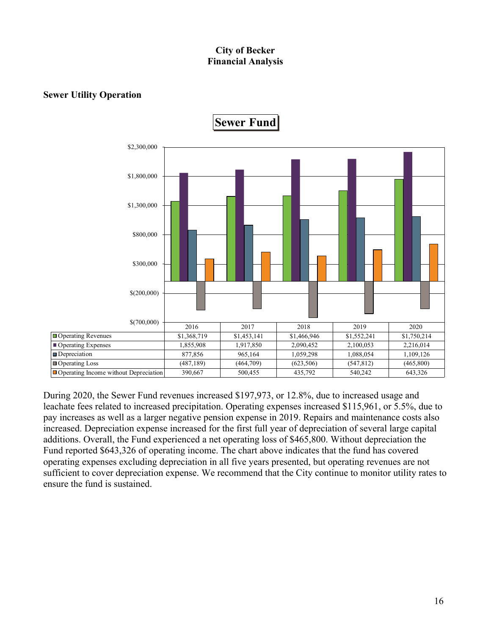# **Sewer Utility Operation**



During 2020, the Sewer Fund revenues increased \$197,973, or 12.8%, due to increased usage and leachate fees related to increased precipitation. Operating expenses increased \$115,961, or 5.5%, due to pay increases as well as a larger negative pension expense in 2019. Repairs and maintenance costs also increased. Depreciation expense increased for the first full year of depreciation of several large capital additions. Overall, the Fund experienced a net operating loss of \$465,800. Without depreciation the Fund reported \$643,326 of operating income. The chart above indicates that the fund has covered operating expenses excluding depreciation in all five years presented, but operating revenues are not sufficient to cover depreciation expense. We recommend that the City continue to monitor utility rates to ensure the fund is sustained.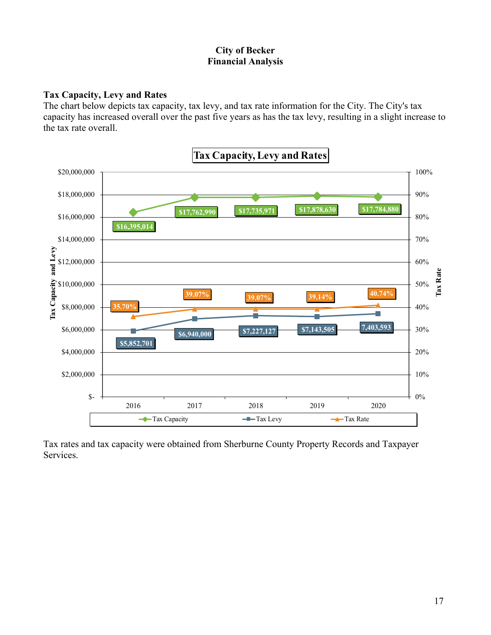### **Tax Capacity, Levy and Rates**

The chart below depicts tax capacity, tax levy, and tax rate information for the City. The City's tax capacity has increased overall over the past five years as has the tax levy, resulting in a slight increase to the tax rate overall.



Tax rates and tax capacity were obtained from Sherburne County Property Records and Taxpayer Services.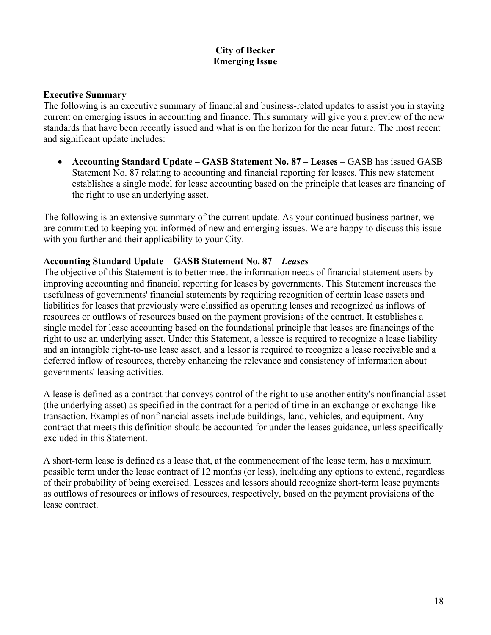# **City of Becker Emerging Issue**

#### **Executive Summary**

The following is an executive summary of financial and business-related updates to assist you in staying current on emerging issues in accounting and finance. This summary will give you a preview of the new standards that have been recently issued and what is on the horizon for the near future. The most recent and significant update includes:

• Accounting Standard Update – GASB Statement No. 87 – Leases – GASB has issued GASB Statement No. 87 relating to accounting and financial reporting for leases. This new statement establishes a single model for lease accounting based on the principle that leases are financing of the right to use an underlying asset.

The following is an extensive summary of the current update. As your continued business partner, we are committed to keeping you informed of new and emerging issues. We are happy to discuss this issue with you further and their applicability to your City.

#### **Accounting Standard Update – GASB Statement No. 87 –** *Leases*

The objective of this Statement is to better meet the information needs of financial statement users by improving accounting and financial reporting for leases by governments. This Statement increases the usefulness of governments' financial statements by requiring recognition of certain lease assets and liabilities for leases that previously were classified as operating leases and recognized as inflows of resources or outflows of resources based on the payment provisions of the contract. It establishes a single model for lease accounting based on the foundational principle that leases are financings of the right to use an underlying asset. Under this Statement, a lessee is required to recognize a lease liability and an intangible right-to-use lease asset, and a lessor is required to recognize a lease receivable and a deferred inflow of resources, thereby enhancing the relevance and consistency of information about governments' leasing activities.

A lease is defined as a contract that conveys control of the right to use another entity's nonfinancial asset (the underlying asset) as specified in the contract for a period of time in an exchange or exchange-like transaction. Examples of nonfinancial assets include buildings, land, vehicles, and equipment. Any contract that meets this definition should be accounted for under the leases guidance, unless specifically excluded in this Statement.

A short-term lease is defined as a lease that, at the commencement of the lease term, has a maximum possible term under the lease contract of 12 months (or less), including any options to extend, regardless of their probability of being exercised. Lessees and lessors should recognize short-term lease payments as outflows of resources or inflows of resources, respectively, based on the payment provisions of the lease contract.